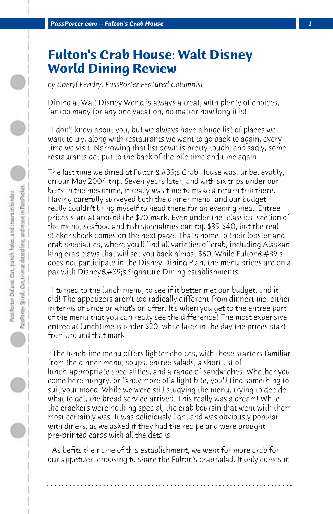## **Fulton's Crab House: Walt Disney World Dining Review**

*by Cheryl Pendry, PassPorter Featured Columnist*

Dining at Walt Disney World is always a treat, with plenty of choices; far too many for any one vacation, no matter how long it is!

 I don't know about you, but we always have a huge list of places we want to try, along with restaurants we want to go back to again, every time we visit. Narrowing that list down is pretty tough, and sadly, some restaurants get put to the back of the pile time and time again.

The last time we dined at Fulton's Crab House was, unbelievably, on our May 2004 trip. Seven years later, and with six trips under our belts in the meantime, it really was time to make a return trip there. Having carefully surveyed both the dinner menu, and our budget, I really couldn't bring myself to head there for an evening meal. Entree prices start at around the \$20 mark. Even under the "classics" section of the menu, seafood and fish specialities can top \$35-\$40, but the real sticker shock comes on the next page. That's home to their lobster and crab specialties, where you'll find all varieties of crab, including Alaskan king crab claws that will set you back almost \$60. While Fulton's does not participate in the Disney Dining Plan, the menu prices are on a par with Disney & #39; s Signature Dining establishments.

 I turned to the lunch menu, to see if it better met our budget, and it did! The appetizers aren't too radically different from dinnertime, either in terms of price or what's on offer. It's when you get to the entree part of the menu that you can really see the difference! The most expensive entree at lunchtime is under \$20, while later in the day the prices start from around that mark.

 The lunchtime menu offers lighter choices, with those starters familiar from the dinner menu, soups, entree salads, a short list of lunch-appropriate specialities, and a range of sandwiches. Whether you come here hungry, or fancy more of a light bite, you'll find something to suit your mood. While we were still studying the menu, trying to decide what to get, the bread service arrived. This really was a dream! While the crackers were nothing special, the crab boursin that went with them most certainly was. It was deliciously light and was obviously popular with diners, as we asked if they had the recipe and were brought pre-printed cards with all the details.

 As befits the name of this establishment, we went for more crab for our appetizer, choosing to share the Fulton's crab salad. It only comes in

**. . . . . . . . . . . . . . . . . . . . . . . . . . . . . . . . . . . . . . . . . . . . . . . . . . . . . . . . . . . . . . . . . .**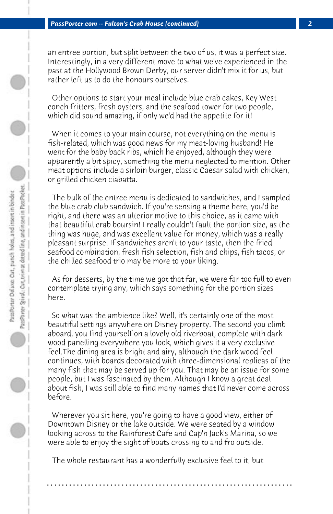an entree portion, but split between the two of us, it was a perfect size. Interestingly, in a very different move to what we've experienced in the past at the Hollywood Brown Derby, our server didn't mix it for us, but rather left us to do the honours ourselves.

 Other options to start your meal include blue crab cakes, Key West conch fritters, fresh oysters, and the seafood tower for two people, which did sound amazing, if only we'd had the appetite for it!

 When it comes to your main course, not everything on the menu is fish-related, which was good news for my meat-loving husband! He went for the baby back ribs, which he enjoyed, although they were apparently a bit spicy, something the menu neglected to mention. Other meat options include a sirloin burger, classic Caesar salad with chicken, or grilled chicken ciabatta.

 The bulk of the entree menu is dedicated to sandwiches, and I sampled the blue crab club sandwich. If you're sensing a theme here, you'd be right, and there was an ulterior motive to this choice, as it came with that beautiful crab boursin! I really couldn't fault the portion size, as the thing was huge, and was excellent value for money, which was a really pleasant surprise. If sandwiches aren't to your taste, then the fried seafood combination, fresh fish selection, fish and chips, fish tacos, or the chilled seafood trio may be more to your liking.

 As for desserts, by the time we got that far, we were far too full to even contemplate trying any, which says something for the portion sizes here.

 So what was the ambience like? Well, it's certainly one of the most beautiful settings anywhere on Disney property. The second you climb aboard, you find yourself on a lovely old riverboat, complete with dark wood panelling everywhere you look, which gives it a very exclusive feel.The dining area is bright and airy, although the dark wood feel continues, with boards decorated with three-dimensional replicas of the many fish that may be served up for you. That may be an issue for some people, but I was fascinated by them. Although I know a great deal about fish, I was still able to find many names that I'd never come across before.

 Wherever you sit here, you're going to have a good view, either of Downtown Disney or the lake outside. We were seated by a window looking across to the Rainforest Cafe and Cap'n Jack's Marina, so we were able to enjoy the sight of boats crossing to and fro outside.

 The whole restaurant has a wonderfully exclusive feel to it, but

**. . . . . . . . . . . . . . . . . . . . . . . . . . . . . . . . . . . . . . . . . . . . . . . . . . . . . . . . . . . . . . . . . .**